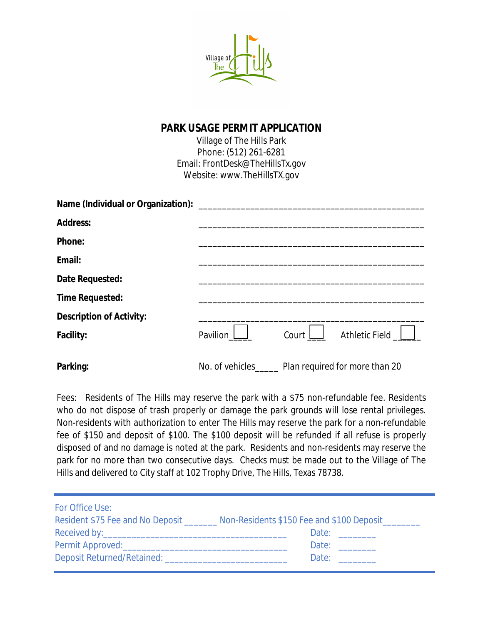

## **PARK USAGE PERMIT APPLICATION**

Village of The Hills Park Phone: (512) 261-6281 Email: FrontDesk@TheHillsTx.gov Website: www.TheHillsTX.gov

| Name (Individual or Organization): ______ |          |                                                       |
|-------------------------------------------|----------|-------------------------------------------------------|
| <b>Address:</b>                           |          |                                                       |
| Phone:                                    |          |                                                       |
| Email:                                    |          |                                                       |
| Date Requested:                           |          |                                                       |
| <b>Time Requested:</b>                    |          |                                                       |
| <b>Description of Activity:</b>           |          |                                                       |
| Facility:                                 | Pavilion | Court I<br>Athletic Field_                            |
| Parking:                                  |          | No. of vehicles ______ Plan required for more than 20 |

Fees: Residents of The Hills may reserve the park with a \$75 non-refundable fee. Residents who do not dispose of trash properly or damage the park grounds will lose rental privileges. Non-residents with authorization to enter The Hills may reserve the park for a non-refundable fee of \$150 and deposit of \$100. The \$100 deposit will be refunded if all refuse is properly disposed of and no damage is noted at the park. Residents and non-residents may reserve the park for no more than two consecutive days. Checks must be made out to the Village of The Hills and delivered to City staff at 102 Trophy Drive, The Hills, Texas 78738.

| For Office Use:                                                  |                                                                                                                 |  |
|------------------------------------------------------------------|-----------------------------------------------------------------------------------------------------------------|--|
|                                                                  | Resident \$75 Fee and No Deposit Non-Residents \$150 Fee and \$100 Deposit                                      |  |
|                                                                  | Date:                                                                                                           |  |
|                                                                  | Date: and the part of the part of the part of the part of the part of the part of the part of the part of the p |  |
| Deposit Returned/Retained: Change and Deposit Returned/Retained: | Date:                                                                                                           |  |